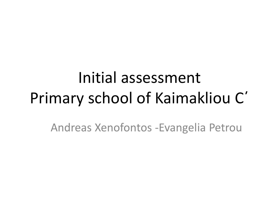# Initial assessment Primary school of Kaimakliou C΄

Andreas Xenofontos -Evangelia Petrou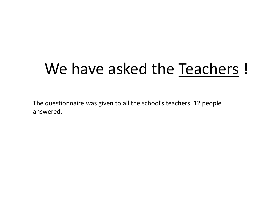# We have asked the Teachers !

The questionnaire was given to all the school's teachers. 12 people answered.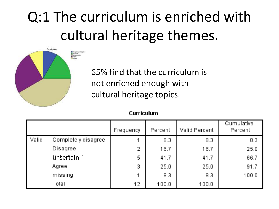# Q:1 The curriculum is enriched with cultural heritage themes.



65% find that the curriculum is not enriched enough with cultural heritage topics.

#### Curriculum

|       |                     | Frequency | Percent | <b>Valid Percent</b> | Cumulative<br>Percent |
|-------|---------------------|-----------|---------|----------------------|-----------------------|
| Valid | Completely disagree |           | 8.3     | 83                   | 8.3                   |
|       | <b>Disagree</b>     | 2         | 16.7    | 16.7                 | 25.0                  |
|       | unsertain           | 5         | 41.7    | 41.7                 | 66.7                  |
|       | Agree               | 3         | 25.0    | 25.0                 | 91.7                  |
|       | missing             |           | 8.3     | 8.3                  | 100.0                 |
|       | Total               | 12        | 100.0   | 100.0                |                       |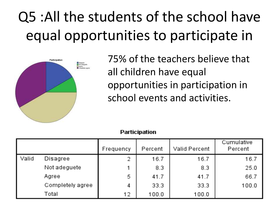# Q5 :All the students of the school have equal opportunities to participate in



75% of the teachers believe that all children have equal opportunities in participation in school events and activities.

|  |  | Participation |  |  |  |
|--|--|---------------|--|--|--|
|  |  |               |  |  |  |

|       |                  | Frequency | Percent | <b>Valid Percent</b> | Cumulative<br>Percent |
|-------|------------------|-----------|---------|----------------------|-----------------------|
| Valid | <b>Disagree</b>  | 2.        | 16.7    | 16.7                 | 16.7                  |
|       | Not adequete     | 1.        | 8.3     | 8.3                  | 25.0                  |
|       | Agree            | 5         | 41.7    | 41.7                 | 66.7                  |
|       | Completely agree | 4         | 33.3    | 33.3                 | 100.0                 |
|       | Total            | 12        | 100.0   | 100.0                |                       |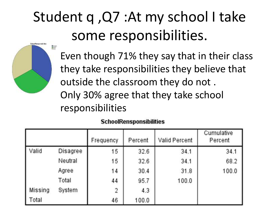# Student q ,Q7 :At my school I take some responsibilities.



Even though 71% they say that in their class they take responsibilities they believe that outside the classroom they do not . Only 30% agree that they take school responsibilities

|         |                 | Frequency      | Percent | Valid Percent | Cumulative<br>Percent |
|---------|-----------------|----------------|---------|---------------|-----------------------|
| Valid   | <b>Disagree</b> | 15             | 32.6    | 34.1          | 34.1                  |
|         | Neutral         | 15             | 32.6    | 34.1          | 68.2                  |
|         | Agree           | 14             | 30.4    | 31.8          | 100.0                 |
|         | Total           | 44             | 95.7    | 100.0         |                       |
| Missing | System          | $\mathfrak{D}$ | 4.3     |               |                       |
| Total   |                 | 46             | 100.0   |               |                       |

### **SchoolRensponsibilities**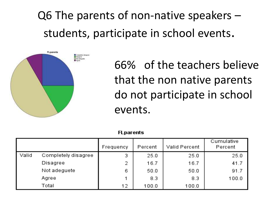Q6 The parents of non-native speakers – students, participate in school events.



66% of the teachers believe that the non native parents do not participate in school events.

|       | rcparents.          |           |         |                      |                       |  |  |  |  |  |
|-------|---------------------|-----------|---------|----------------------|-----------------------|--|--|--|--|--|
|       |                     | Frequency | Percent | <b>Valid Percent</b> | Cumulative<br>Percent |  |  |  |  |  |
| Valid | Completely disagree | 3         | 25.0    | 25.0                 | 25.0                  |  |  |  |  |  |
|       | Disagree            | 2         | 16.7    | 16.7                 | 41.7                  |  |  |  |  |  |
|       | Not adequete        | 6         | 50.0.   | 50.0                 | 91.7                  |  |  |  |  |  |
|       | Agree               | 4         | 8.3     | 8.3                  | 100.0                 |  |  |  |  |  |
|       | Total               | 12        | 100.0   | 100.0                |                       |  |  |  |  |  |

71 - - - - - - - 1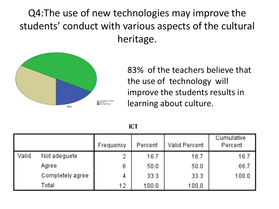Q4:The use of new technologies may improve the students' conduct with various aspects of the cultural heritage.



83% of the teachers believe that the use of technology will improve the students results in learning about culture.

|       |                  | Frequency | Percent | Valid Percent | Cumulative<br>Percent |
|-------|------------------|-----------|---------|---------------|-----------------------|
| Valid | Not adequete     | 2         | 16.7    | 16.7          | 16.7                  |
|       | Agree            | 6         | 50.0    | 50.0          | 66.7                  |
|       | Completely agree | 4         | 33.3    | 33.3          | 100.0                 |
|       | Total            | 12        | 100.0   | 100.0         |                       |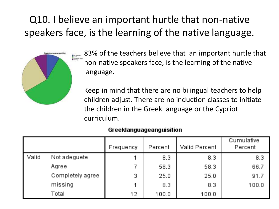### Q10. I believe an important hurtle that non-native speakers face, is the learning of the native language.



83% of the teachers believe that an important hurtle that non-native speakers face, is the learning of the native language.

Keep in mind that there are no bilingual teachers to help children adjust. There are no induction classes to initiate the children in the Greek language or the Cypriot curriculum.

#### Greeklanguageanguisition

|       |                  | Frequency | Percent | Valid Percent | Cumulative<br>Percent |
|-------|------------------|-----------|---------|---------------|-----------------------|
| Valid | Not adequete     | 4         | 83      | 8.3           | 83                    |
|       | Agree            |           | 58.3    | 58.3          | 66.7                  |
|       | Completely agree | 3         | 25.0    | 25.0          | 91.7                  |
|       | missing          | 1         | 8.3     | 8.3           | 100.0                 |
|       | Total            | 12        | 100.0   | 100.0         |                       |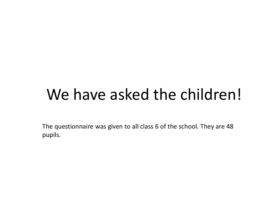# We have asked the children!

The questionnaire was given to all class 6 of the school. They are 48 pupils.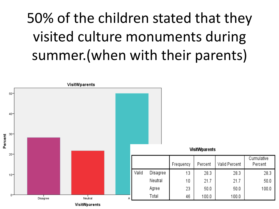# 50% of the children stated that they visited culture monuments during summer.(when with their parents)

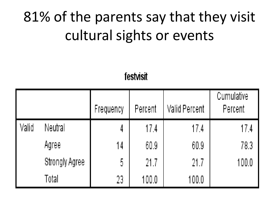### 81% of the parents say that they visit cultural sights or events

festvisit

|       |                | Frequency | <b>Percent</b> | Valid Percent | Cumulative<br>Percent |
|-------|----------------|-----------|----------------|---------------|-----------------------|
| Valid | Neutral        | 4         | 17.4           | 17.4          | 17.4                  |
|       | Agree          | 14        | 60.9           | 60.9          | 78.3                  |
|       | Strongly Agree | 5         | 21.7           | 21.7          | 100.0                 |
|       | Total          | 23        | 100.0          | 100.0         |                       |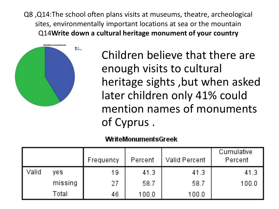Q8 ,Q14:The school often plans visits at museums, theatre, archeological sites, environmentally important locations at sea or the mountain Q14**Write down a cultural heritage monument of your country** 



• Children believe that there are enough visits to cultural heritage sights ,but when asked later children only 41% could mention names of monuments of Cyprus .

### WriteMonumentsGreek

|       |         | Frequency | Percent | Valid Percent | Cumulative<br><b>Percent</b> |
|-------|---------|-----------|---------|---------------|------------------------------|
| Valid | yes.    | 19        | 41.3    | 41.3          | 41.3                         |
|       | missing | 27        | 58.7    | 58.7          | 100.0                        |
|       | Total   | 46        | 100.0   | 100.0         |                              |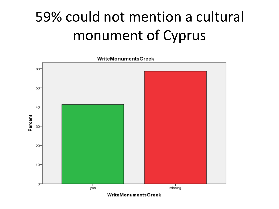# 59% could not mention a cultural monument of Cyprus



WriteMonumentsGreek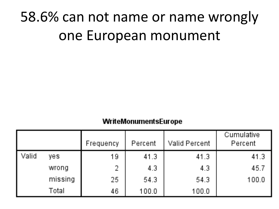### 58.6% can not name or name wrongly one European monument

### WriteMonumentsEurope

|       |         | Frequency | Percent | <b>Valid Percent</b> | Cumulative<br>Percent |
|-------|---------|-----------|---------|----------------------|-----------------------|
| Valid | yes.    | 19        | 41.3    | 41.3                 | 41.3                  |
|       | wrong   | 2.        | 4.3     | 4.3                  | 45.7                  |
|       | missing | 25        | 54.3    | 54.3                 | 100.0                 |
|       | Total   | 46.       | 100.0   | 100.0                |                       |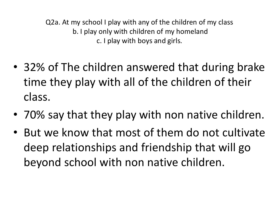Q2a. At my school I play with any of the children of my class b. I play only with children of my homeland c. I play with boys and girls.

- 32% of The children answered that during brake time they play with all of the children of their class.
- 70% say that they play with non native children.
- But we know that most of them do not cultivate deep relationships and friendship that will go beyond school with non native children.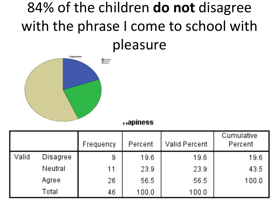### 84% of the children **do not** disagree with the phrase I come to school with pleasure



#### napiness

|       |          | Frequency | Percent | Valid Percent | Cumulative<br>Percent |
|-------|----------|-----------|---------|---------------|-----------------------|
| Valid | Disagree | 9         | 19.6    | 19.6          | 19.6                  |
|       | Neutral  | 11        | 23.9    | 23.9          | 43.5                  |
|       | Agree    | 26        | 56.5    | 56.5          | 100.0                 |
|       | Total    | 46.       | 100.0   | 100.0         |                       |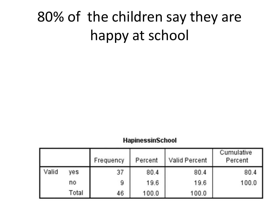### 80% of the children say they are happy at school

### **HapinessinSchool**

|       |       | Frequency | Percent | Valid Percent | Cumulative<br>Percent |
|-------|-------|-----------|---------|---------------|-----------------------|
| Valid | yes   | 37        | 80.4    | 80.4          | 80.4                  |
|       | no    | 9         | 19.6    | 19.6          | 100.0                 |
|       | Total | 46        | 100.0   | 100.0         |                       |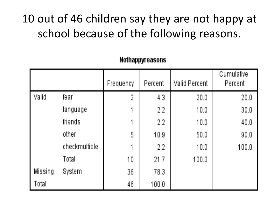### 10 out of 46 children say they are not happy at school because of the following reasons.

|         |               | Frequency      | Percent | <b>Valid Percent</b> | Cumulative<br>Percent |
|---------|---------------|----------------|---------|----------------------|-----------------------|
| Valid   | fear          | $\overline{2}$ | 4.3     | 20.0                 | 20.0                  |
|         | language      |                | 2.2     | 10.0                 | 30.0                  |
|         | friends       | 1              | 2.2     | 10.0                 | 40.0                  |
|         | other         | 5              | 10.9    | 50.0                 | 90.0                  |
|         | checkmultible |                | 2.2     | 10.0                 | 100.0                 |
|         | Total         | 10             | 21.7    | 100.0                |                       |
| Missing | System        | 36             | 783     |                      |                       |
| Total   |               | 46             | 100.0   |                      |                       |

### Nothappyreasons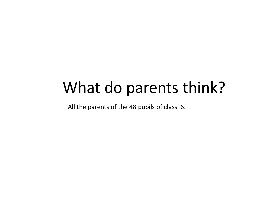### What do parents think?

All the parents of the 48 pupils of class 6.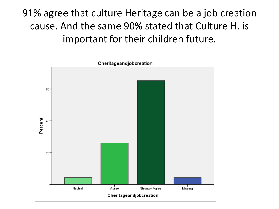91% agree that culture Heritage can be a job creation cause. And the same 90% stated that Culture H. is important for their children future.

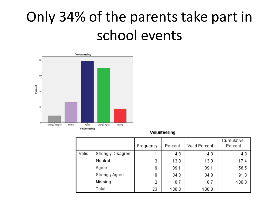### Only 34% of the parents take part in school events



#### Volunteering

|       |                   | Frequency | Percent | Valid Percent | Cumulative<br>Percent |
|-------|-------------------|-----------|---------|---------------|-----------------------|
| Valid | Strongly Disagree |           | 4.3     | 4.3           | 4.3                   |
|       | Neutral           | 3         | 13.0    | 13.0          | 17.4                  |
|       | Agree             | 9         | 39.1    | 39.1          | 56.5                  |
|       | Strongly Agree    | 8         | 34.8    | 34.8          | 91.3                  |
|       | Missing           | 2         | 8.7     | 8.7           | 100.0                 |
|       | Total             | 23        | 100.0   | 100.0         |                       |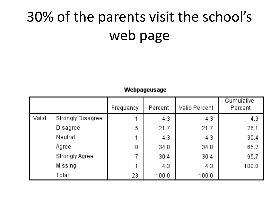## 30% of the parents visit the school's web page

#### Webpageusage

|       |                          | Frequency | Percent | <b>Valid Percent</b> | Cumulative<br>Percent |
|-------|--------------------------|-----------|---------|----------------------|-----------------------|
| Valid | <b>Strongly Disagree</b> | 1         | 4.3     | 4.3                  | 4.3                   |
|       | Disagree                 | 5         | 21.7    | 21.7                 | 26.1                  |
|       | Neutral                  | 1         | 4.3     | 4.3                  | 30.4                  |
|       | Agree                    | 8         | 34.8    | 34.8                 | 65.2                  |
|       | <b>Strongly Agree</b>    | 7         | 30.4    | 30.4                 | 95.7                  |
|       | Missing                  | 1         | 4.3     | 43                   | 100.0                 |
|       | Total                    | 23        | 100.0   | 100.0                |                       |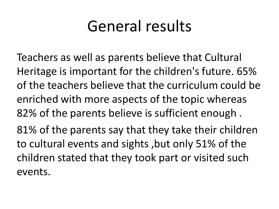### General results

Teachers as well as parents believe that Cultural Heritage is important for the children's future. 65% of the teachers believe that the curriculum could be enriched with more aspects of the topic whereas 82% of the parents believe is sufficient enough . 81% of the parents say that they take their children to cultural events and sights ,but only 51% of the children stated that they took part or visited such events.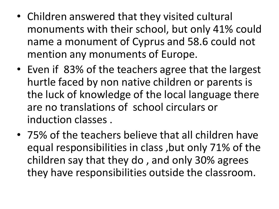- Children answered that they visited cultural monuments with their school, but only 41% could name a monument of Cyprus and 58.6 could not mention any monuments of Europe.
- Even if 83% of the teachers agree that the largest hurtle faced by non native children or parents is the luck of knowledge of the local language there are no translations of school circulars or induction classes .
- 75% of the teachers believe that all children have equal responsibilities in class ,but only 71% of the children say that they do , and only 30% agrees they have responsibilities outside the classroom.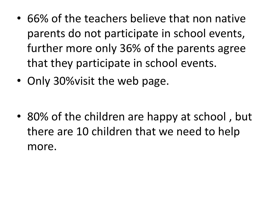- 66% of the teachers believe that non native parents do not participate in school events, further more only 36% of the parents agree that they participate in school events.
- Only 30% visit the web page.

• 80% of the children are happy at school , but there are 10 children that we need to help more.